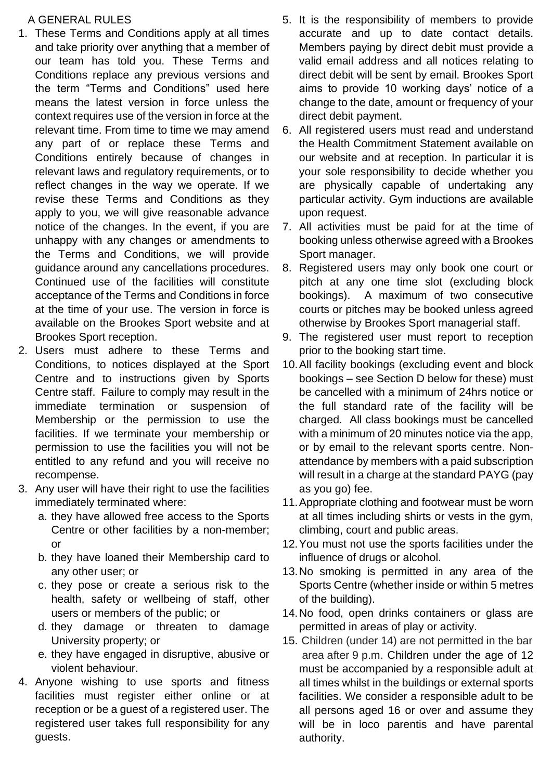#### A GENERAL RULES

- 1. These Terms and Conditions apply at all times and take priority over anything that a member of our team has told you. These Terms and Conditions replace any previous versions and the term "Terms and Conditions" used here means the latest version in force unless the context requires use of the version in force at the relevant time. From time to time we may amend any part of or replace these Terms and Conditions entirely because of changes in relevant laws and regulatory requirements, or to reflect changes in the way we operate. If we revise these Terms and Conditions as they apply to you, we will give reasonable advance notice of the changes. In the event, if you are unhappy with any changes or amendments to the Terms and Conditions, we will provide guidance around any cancellations procedures. Continued use of the facilities will constitute acceptance of the Terms and Conditions in force at the time of your use. The version in force is available on the Brookes Sport website and at Brookes Sport reception.
- 2. Users must adhere to these Terms and Conditions, to notices displayed at the Sport Centre and to instructions given by Sports Centre staff. Failure to comply may result in the immediate termination or suspension of Membership or the permission to use the facilities. If we terminate your membership or permission to use the facilities you will not be entitled to any refund and you will receive no recompense.
- 3. Any user will have their right to use the facilities immediately terminated where:
	- a. they have allowed free access to the Sports Centre or other facilities by a non-member; or
	- b. they have loaned their Membership card to any other user; or
	- c. they pose or create a serious risk to the health, safety or wellbeing of staff, other users or members of the public; or
	- d. they damage or threaten to damage University property; or
	- e. they have engaged in disruptive, abusive or violent behaviour.
- 4. Anyone wishing to use sports and fitness facilities must register either online or at reception or be a guest of a registered user. The registered user takes full responsibility for any guests.
- 5. It is the responsibility of members to provide accurate and up to date contact details. Members paying by direct debit must provide a valid email address and all notices relating to direct debit will be sent by email. Brookes Sport aims to provide 10 working days' notice of a change to the date, amount or frequency of your direct debit payment.
- 6. All registered users must read and understand the Health Commitment Statement available on our website and at reception. In particular it is your sole responsibility to decide whether you are physically capable of undertaking any particular activity. Gym inductions are available upon request.
- 7. All activities must be paid for at the time of booking unless otherwise agreed with a Brookes Sport manager.
- 8. Registered users may only book one court or pitch at any one time slot (excluding block bookings). A maximum of two consecutive courts or pitches may be booked unless agreed otherwise by Brookes Sport managerial staff.
- 9. The registered user must report to reception prior to the booking start time.
- 10.All facility bookings (excluding event and block bookings – see Section D below for these) must be cancelled with a minimum of 24hrs notice or the full standard rate of the facility will be charged. All class bookings must be cancelled with a minimum of 20 minutes notice via the app, or by email to the relevant sports centre. Nonattendance by members with a paid subscription will result in a charge at the standard PAYG (pay as you go) fee.
- 11.Appropriate clothing and footwear must be worn at all times including shirts or vests in the gym, climbing, court and public areas.
- 12.You must not use the sports facilities under the influence of drugs or alcohol.
- 13.No smoking is permitted in any area of the Sports Centre (whether inside or within 5 metres of the building).
- 14.No food, open drinks containers or glass are permitted in areas of play or activity.
- 15. Children (under 14) are not permitted in the bar area after 9 p.m. Children under the age of 12 must be accompanied by a responsible adult at all times whilst in the buildings or external sports facilities. We consider a responsible adult to be all persons aged 16 or over and assume they will be in loco parentis and have parental authority.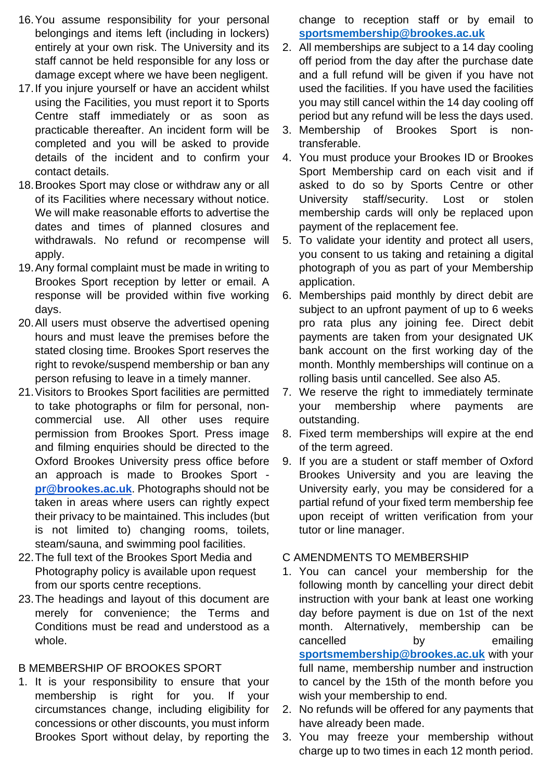- 16.You assume responsibility for your personal belongings and items left (including in lockers) entirely at your own risk. The University and its staff cannot be held responsible for any loss or damage except where we have been negligent.
- 17.If you injure yourself or have an accident whilst using the Facilities, you must report it to Sports Centre staff immediately or as soon as practicable thereafter. An incident form will be completed and you will be asked to provide details of the incident and to confirm your contact details.
- 18.Brookes Sport may close or withdraw any or all of its Facilities where necessary without notice. We will make reasonable efforts to advertise the dates and times of planned closures and withdrawals. No refund or recompense will apply.
- 19.Any formal complaint must be made in writing to Brookes Sport reception by letter or email. A response will be provided within five working days.
- 20.All users must observe the advertised opening hours and must leave the premises before the stated closing time. Brookes Sport reserves the right to revoke/suspend membership or ban any person refusing to leave in a timely manner.
- 21.Visitors to Brookes Sport facilities are permitted to take photographs or film for personal, noncommercial use. All other uses require permission from Brookes Sport. Press image and filming enquiries should be directed to the Oxford Brookes University press office before an approach is made to Brookes Sport **[pr@brookes.ac.uk](mailto:pr@brookes.ac.uk)**. Photographs should not be taken in areas where users can rightly expect their privacy to be maintained. This includes (but is not limited to) changing rooms, toilets, steam/sauna, and swimming pool facilities.
- 22.The full text of the Brookes Sport Media and Photography policy is available upon request from our sports centre receptions.
- 23.The headings and layout of this document are merely for convenience; the Terms and Conditions must be read and understood as a whole.

# B MEMBERSHIP OF BROOKES SPORT

1. It is your responsibility to ensure that your membership is right for you. If your circumstances change, including eligibility for concessions or other discounts, you must inform Brookes Sport without delay, by reporting the change to reception staff or by email to **[sportsmembership@brookes.ac.uk](mailto:sportsmembership@brookes.ac.uk)**

- 2. All memberships are subject to a 14 day cooling off period from the day after the purchase date and a full refund will be given if you have not used the facilities. If you have used the facilities you may still cancel within the 14 day cooling off period but any refund will be less the days used.
- 3. Membership of Brookes Sport is nontransferable.
- 4. You must produce your Brookes ID or Brookes Sport Membership card on each visit and if asked to do so by Sports Centre or other University staff/security. Lost or stolen membership cards will only be replaced upon payment of the replacement fee.
- 5. To validate your identity and protect all users, you consent to us taking and retaining a digital photograph of you as part of your Membership application.
- 6. Memberships paid monthly by direct debit are subject to an upfront payment of up to 6 weeks pro rata plus any joining fee. Direct debit payments are taken from your designated UK bank account on the first working day of the month. Monthly memberships will continue on a rolling basis until cancelled. See also A5.
- 7. We reserve the right to immediately terminate your membership where payments are outstanding.
- 8. Fixed term memberships will expire at the end of the term agreed.
- 9. If you are a student or staff member of Oxford Brookes University and you are leaving the University early, you may be considered for a partial refund of your fixed term membership fee upon receipt of written verification from your tutor or line manager.

# C AMENDMENTS TO MEMBERSHIP

- 1. You can cancel your membership for the following month by cancelling your direct debit instruction with your bank at least one working day before payment is due on 1st of the next month. Alternatively, membership can be cancelled by emailing **[sportsmembership@brookes.ac.uk](mailto:sportsmembership@brookes.ac.uk)** with your full name, membership number and instruction to cancel by the 15th of the month before you wish your membership to end.
- 2. No refunds will be offered for any payments that have already been made.
- 3. You may freeze your membership without charge up to two times in each 12 month period.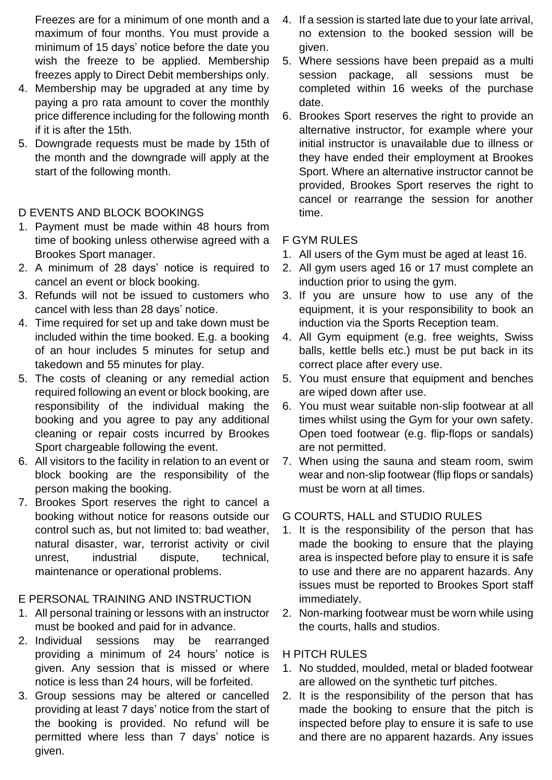Freezes are for a minimum of one month and a maximum of four months. You must provide a minimum of 15 days' notice before the date you wish the freeze to be applied. Membership freezes apply to Direct Debit memberships only.

- 4. Membership may be upgraded at any time by paying a pro rata amount to cover the monthly price difference including for the following month if it is after the 15th.
- 5. Downgrade requests must be made by 15th of the month and the downgrade will apply at the start of the following month.

#### D EVENTS AND BLOCK BOOKINGS

- 1. Payment must be made within 48 hours from time of booking unless otherwise agreed with a Brookes Sport manager.
- 2. A minimum of 28 days' notice is required to cancel an event or block booking.
- 3. Refunds will not be issued to customers who cancel with less than 28 days' notice.
- 4. Time required for set up and take down must be included within the time booked. E.g. a booking of an hour includes 5 minutes for setup and takedown and 55 minutes for play.
- 5. The costs of cleaning or any remedial action required following an event or block booking, are responsibility of the individual making the booking and you agree to pay any additional cleaning or repair costs incurred by Brookes Sport chargeable following the event.
- 6. All visitors to the facility in relation to an event or block booking are the responsibility of the person making the booking.
- 7. Brookes Sport reserves the right to cancel a booking without notice for reasons outside our control such as, but not limited to: bad weather, natural disaster, war, terrorist activity or civil unrest, industrial dispute, technical, maintenance or operational problems.

#### E PERSONAL TRAINING AND INSTRUCTION

- 1. All personal training or lessons with an instructor must be booked and paid for in advance.
- 2. Individual sessions may be rearranged providing a minimum of 24 hours' notice is given. Any session that is missed or where notice is less than 24 hours, will be forfeited.
- 3. Group sessions may be altered or cancelled providing at least 7 days' notice from the start of the booking is provided. No refund will be permitted where less than 7 days' notice is given.
- 4. If a session is started late due to your late arrival, no extension to the booked session will be given.
- 5. Where sessions have been prepaid as a multi session package, all sessions must be completed within 16 weeks of the purchase date.
- 6. Brookes Sport reserves the right to provide an alternative instructor, for example where your initial instructor is unavailable due to illness or they have ended their employment at Brookes Sport. Where an alternative instructor cannot be provided, Brookes Sport reserves the right to cancel or rearrange the session for another time.

#### F GYM RULES

- 1. All users of the Gym must be aged at least 16.
- 2. All gym users aged 16 or 17 must complete an induction prior to using the gym.
- 3. If you are unsure how to use any of the equipment, it is your responsibility to book an induction via the Sports Reception team.
- 4. All Gym equipment (e.g. free weights, Swiss balls, kettle bells etc.) must be put back in its correct place after every use.
- 5. You must ensure that equipment and benches are wiped down after use.
- 6. You must wear suitable non-slip footwear at all times whilst using the Gym for your own safety. Open toed footwear (e.g. flip-flops or sandals) are not permitted.
- 7. When using the sauna and steam room, swim wear and non-slip footwear (flip flops or sandals) must be worn at all times.

#### G COURTS, HALL and STUDIO RULES

- 1. It is the responsibility of the person that has made the booking to ensure that the playing area is inspected before play to ensure it is safe to use and there are no apparent hazards. Any issues must be reported to Brookes Sport staff immediately.
- 2. Non-marking footwear must be worn while using the courts, halls and studios.

#### H PITCH RULES

- 1. No studded, moulded, metal or bladed footwear are allowed on the synthetic turf pitches.
- 2. It is the responsibility of the person that has made the booking to ensure that the pitch is inspected before play to ensure it is safe to use and there are no apparent hazards. Any issues